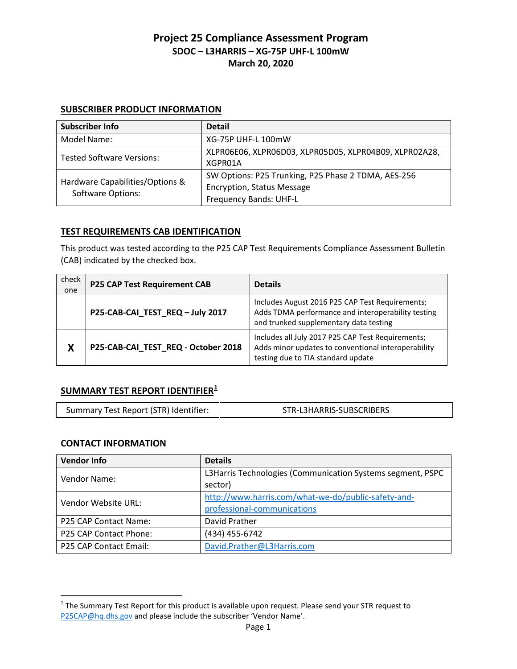### **SUBSCRIBER PRODUCT INFORMATION**

| <b>Subscriber Info</b>                               | <b>Detail</b>                                                                                                      |
|------------------------------------------------------|--------------------------------------------------------------------------------------------------------------------|
| Model Name:                                          | <b>XG-75P UHF-L 100mW</b>                                                                                          |
| <b>Tested Software Versions:</b>                     | XLPRO6EO6, XLPRO6DO3, XLPRO5DO5, XLPRO4BO9, XLPRO2A28,<br>XGPR01A                                                  |
| Hardware Capabilities/Options &<br>Software Options: | SW Options: P25 Trunking, P25 Phase 2 TDMA, AES-256<br><b>Encryption, Status Message</b><br>Frequency Bands: UHF-L |

#### **TEST REQUIREMENTS CAB IDENTIFICATION**

This product was tested according to the P25 CAP Test Requirements Compliance Assessment Bulletin (CAB) indicated by the checked box.

| check<br>one | <b>P25 CAP Test Requirement CAB</b> | <b>Details</b>                                                                                                                                  |
|--------------|-------------------------------------|-------------------------------------------------------------------------------------------------------------------------------------------------|
|              | P25-CAB-CAI_TEST_REQ-July 2017      | Includes August 2016 P25 CAP Test Requirements;<br>Adds TDMA performance and interoperability testing<br>and trunked supplementary data testing |
| X            | P25-CAB-CAI_TEST_REQ - October 2018 | Includes all July 2017 P25 CAP Test Requirements;<br>Adds minor updates to conventional interoperability<br>testing due to TIA standard update  |

# **SUMMARY TEST REPORT IDENTIFIER[1](#page-0-0)**

| Summary Test Report (STR) Identifier:<br>STR-L3HARRIS-SUBSCRIBERS |
|-------------------------------------------------------------------|
|-------------------------------------------------------------------|

#### **CONTACT INFORMATION**

| <b>Vendor Info</b>     | <b>Details</b>                                             |
|------------------------|------------------------------------------------------------|
| Vendor Name:           | L3Harris Technologies (Communication Systems segment, PSPC |
|                        | sector)                                                    |
| Vendor Website URL:    | http://www.harris.com/what-we-do/public-safety-and-        |
|                        | professional-communications                                |
| P25 CAP Contact Name:  | David Prather                                              |
| P25 CAP Contact Phone: | (434) 455-6742                                             |
| P25 CAP Contact Email: | David.Prather@L3Harris.com                                 |

<span id="page-0-0"></span> $1$  The Summary Test Report for this product is available upon request. Please send your STR request to [P25CAP@hq.dhs.gov](mailto:P25CAP@hq.dhs.gov) and please include the subscriber 'Vendor Name'.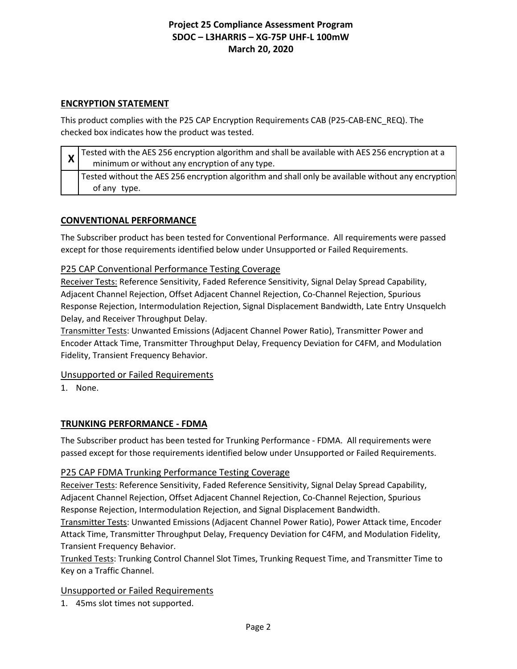#### **ENCRYPTION STATEMENT**

This product complies with the P25 CAP Encryption Requirements CAB (P25-CAB-ENC\_REQ). The checked box indicates how the product was tested.

| $\mathsf{x}$ | Tested with the AES 256 encryption algorithm and shall be available with AES 256 encryption at a<br>minimum or without any encryption of any type. |
|--------------|----------------------------------------------------------------------------------------------------------------------------------------------------|
|              | Tested without the AES 256 encryption algorithm and shall only be available without any encryption<br>of any type.                                 |

#### **CONVENTIONAL PERFORMANCE**

The Subscriber product has been tested for Conventional Performance. All requirements were passed except for those requirements identified below under Unsupported or Failed Requirements.

#### P25 CAP Conventional Performance Testing Coverage

Receiver Tests: Reference Sensitivity, Faded Reference Sensitivity, Signal Delay Spread Capability, Adjacent Channel Rejection, Offset Adjacent Channel Rejection, Co-Channel Rejection, Spurious Response Rejection, Intermodulation Rejection, Signal Displacement Bandwidth, Late Entry Unsquelch Delay, and Receiver Throughput Delay.

Transmitter Tests: Unwanted Emissions (Adjacent Channel Power Ratio), Transmitter Power and Encoder Attack Time, Transmitter Throughput Delay, Frequency Deviation for C4FM, and Modulation Fidelity, Transient Frequency Behavior.

#### Unsupported or Failed Requirements

1. None.

#### **TRUNKING PERFORMANCE - FDMA**

The Subscriber product has been tested for Trunking Performance - FDMA. All requirements were passed except for those requirements identified below under Unsupported or Failed Requirements.

#### P25 CAP FDMA Trunking Performance Testing Coverage

Receiver Tests: Reference Sensitivity, Faded Reference Sensitivity, Signal Delay Spread Capability, Adjacent Channel Rejection, Offset Adjacent Channel Rejection, Co-Channel Rejection, Spurious Response Rejection, Intermodulation Rejection, and Signal Displacement Bandwidth.

Transmitter Tests: Unwanted Emissions (Adjacent Channel Power Ratio), Power Attack time, Encoder Attack Time, Transmitter Throughput Delay, Frequency Deviation for C4FM, and Modulation Fidelity, Transient Frequency Behavior.

Trunked Tests: Trunking Control Channel Slot Times, Trunking Request Time, and Transmitter Time to Key on a Traffic Channel.

#### Unsupported or Failed Requirements

1. 45ms slot times not supported.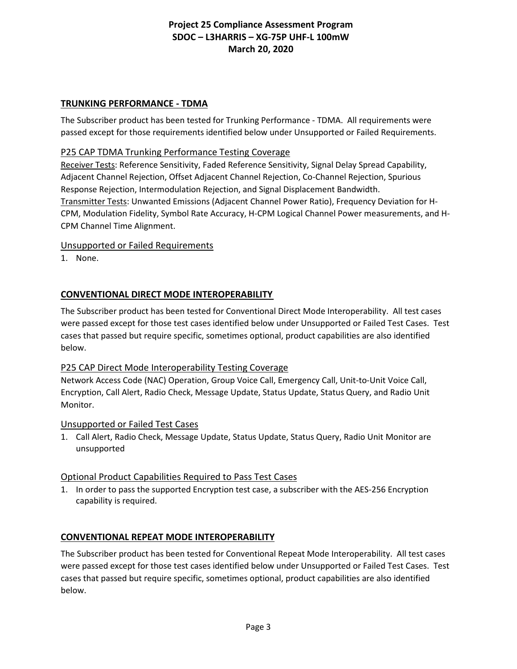#### **TRUNKING PERFORMANCE - TDMA**

The Subscriber product has been tested for Trunking Performance - TDMA. All requirements were passed except for those requirements identified below under Unsupported or Failed Requirements.

#### P25 CAP TDMA Trunking Performance Testing Coverage

Receiver Tests: Reference Sensitivity, Faded Reference Sensitivity, Signal Delay Spread Capability, Adjacent Channel Rejection, Offset Adjacent Channel Rejection, Co-Channel Rejection, Spurious Response Rejection, Intermodulation Rejection, and Signal Displacement Bandwidth. Transmitter Tests: Unwanted Emissions (Adjacent Channel Power Ratio), Frequency Deviation for H-CPM, Modulation Fidelity, Symbol Rate Accuracy, H-CPM Logical Channel Power measurements, and H-CPM Channel Time Alignment.

#### Unsupported or Failed Requirements

1. None.

### **CONVENTIONAL DIRECT MODE INTEROPERABILITY**

The Subscriber product has been tested for Conventional Direct Mode Interoperability. All test cases were passed except for those test cases identified below under Unsupported or Failed Test Cases. Test cases that passed but require specific, sometimes optional, product capabilities are also identified below.

#### P25 CAP Direct Mode Interoperability Testing Coverage

Network Access Code (NAC) Operation, Group Voice Call, Emergency Call, Unit-to-Unit Voice Call, Encryption, Call Alert, Radio Check, Message Update, Status Update, Status Query, and Radio Unit Monitor.

#### Unsupported or Failed Test Cases

1. Call Alert, Radio Check, Message Update, Status Update, Status Query, Radio Unit Monitor are unsupported

#### Optional Product Capabilities Required to Pass Test Cases

1. In order to pass the supported Encryption test case, a subscriber with the AES-256 Encryption capability is required.

#### **CONVENTIONAL REPEAT MODE INTEROPERABILITY**

The Subscriber product has been tested for Conventional Repeat Mode Interoperability. All test cases were passed except for those test cases identified below under Unsupported or Failed Test Cases. Test cases that passed but require specific, sometimes optional, product capabilities are also identified below.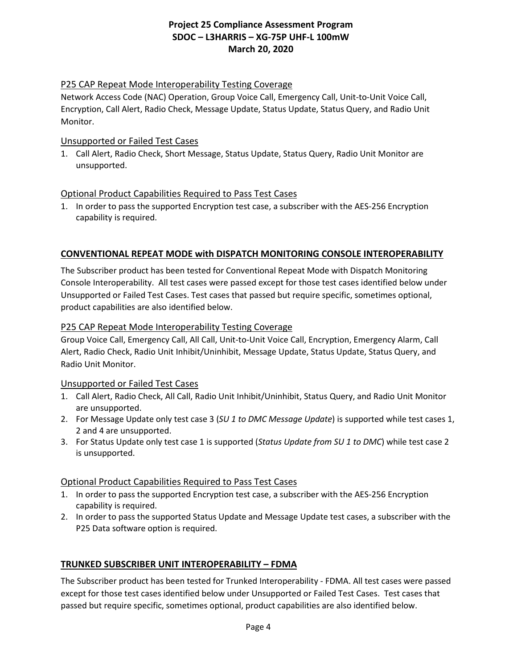#### P25 CAP Repeat Mode Interoperability Testing Coverage

Network Access Code (NAC) Operation, Group Voice Call, Emergency Call, Unit-to-Unit Voice Call, Encryption, Call Alert, Radio Check, Message Update, Status Update, Status Query, and Radio Unit Monitor.

#### Unsupported or Failed Test Cases

1. Call Alert, Radio Check, Short Message, Status Update, Status Query, Radio Unit Monitor are unsupported.

#### Optional Product Capabilities Required to Pass Test Cases

1. In order to pass the supported Encryption test case, a subscriber with the AES-256 Encryption capability is required.

## **CONVENTIONAL REPEAT MODE with DISPATCH MONITORING CONSOLE INTEROPERABILITY**

The Subscriber product has been tested for Conventional Repeat Mode with Dispatch Monitoring Console Interoperability. All test cases were passed except for those test cases identified below under Unsupported or Failed Test Cases. Test cases that passed but require specific, sometimes optional, product capabilities are also identified below.

#### P25 CAP Repeat Mode Interoperability Testing Coverage

Group Voice Call, Emergency Call, All Call, Unit-to-Unit Voice Call, Encryption, Emergency Alarm, Call Alert, Radio Check, Radio Unit Inhibit/Uninhibit, Message Update, Status Update, Status Query, and Radio Unit Monitor.

#### Unsupported or Failed Test Cases

- 1. Call Alert, Radio Check, All Call, Radio Unit Inhibit/Uninhibit, Status Query, and Radio Unit Monitor are unsupported.
- 2. For Message Update only test case 3 (*SU 1 to DMC Message Update*) is supported while test cases 1, 2 and 4 are unsupported.
- 3. For Status Update only test case 1 is supported (*Status Update from SU 1 to DMC*) while test case 2 is unsupported.

#### Optional Product Capabilities Required to Pass Test Cases

- 1. In order to pass the supported Encryption test case, a subscriber with the AES-256 Encryption capability is required.
- 2. In order to pass the supported Status Update and Message Update test cases, a subscriber with the P25 Data software option is required.

#### **TRUNKED SUBSCRIBER UNIT INTEROPERABILITY – FDMA**

The Subscriber product has been tested for Trunked Interoperability - FDMA. All test cases were passed except for those test cases identified below under Unsupported or Failed Test Cases. Test cases that passed but require specific, sometimes optional, product capabilities are also identified below.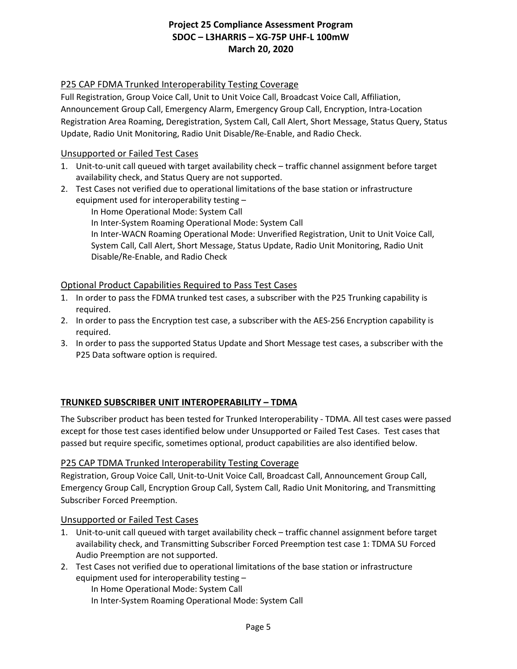### P25 CAP FDMA Trunked Interoperability Testing Coverage

Full Registration, Group Voice Call, Unit to Unit Voice Call, Broadcast Voice Call, Affiliation, Announcement Group Call, Emergency Alarm, Emergency Group Call, Encryption, Intra-Location Registration Area Roaming, Deregistration, System Call, Call Alert, Short Message, Status Query, Status Update, Radio Unit Monitoring, Radio Unit Disable/Re-Enable, and Radio Check.

#### Unsupported or Failed Test Cases

- 1. Unit-to-unit call queued with target availability check traffic channel assignment before target availability check, and Status Query are not supported.
- 2. Test Cases not verified due to operational limitations of the base station or infrastructure equipment used for interoperability testing –

In Home Operational Mode: System Call In Inter-System Roaming Operational Mode: System Call In Inter-WACN Roaming Operational Mode: Unverified Registration, Unit to Unit Voice Call, System Call, Call Alert, Short Message, Status Update, Radio Unit Monitoring, Radio Unit Disable/Re-Enable, and Radio Check

### Optional Product Capabilities Required to Pass Test Cases

- 1. In order to pass the FDMA trunked test cases, a subscriber with the P25 Trunking capability is required.
- 2. In order to pass the Encryption test case, a subscriber with the AES-256 Encryption capability is required.
- 3. In order to pass the supported Status Update and Short Message test cases, a subscriber with the P25 Data software option is required.

## **TRUNKED SUBSCRIBER UNIT INTEROPERABILITY – TDMA**

The Subscriber product has been tested for Trunked Interoperability - TDMA. All test cases were passed except for those test cases identified below under Unsupported or Failed Test Cases. Test cases that passed but require specific, sometimes optional, product capabilities are also identified below.

#### P25 CAP TDMA Trunked Interoperability Testing Coverage

Registration, Group Voice Call, Unit-to-Unit Voice Call, Broadcast Call, Announcement Group Call, Emergency Group Call, Encryption Group Call, System Call, Radio Unit Monitoring, and Transmitting Subscriber Forced Preemption.

#### Unsupported or Failed Test Cases

- 1. Unit-to-unit call queued with target availability check traffic channel assignment before target availability check, and Transmitting Subscriber Forced Preemption test case 1: TDMA SU Forced Audio Preemption are not supported.
- 2. Test Cases not verified due to operational limitations of the base station or infrastructure equipment used for interoperability testing –

In Home Operational Mode: System Call

In Inter-System Roaming Operational Mode: System Call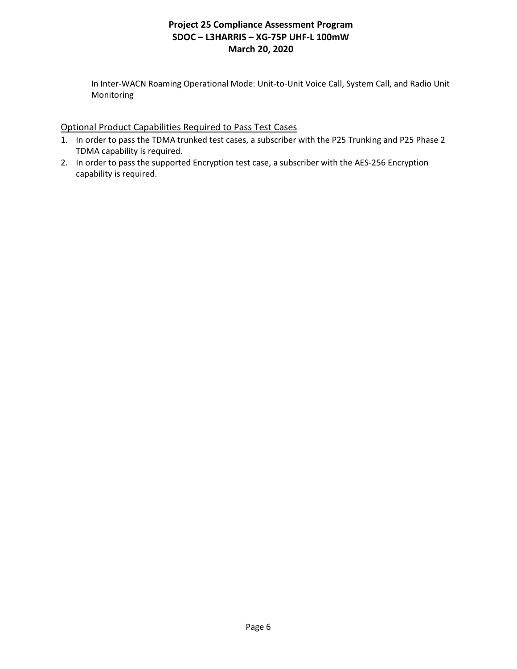In Inter-WACN Roaming Operational Mode: Unit-to-Unit Voice Call, System Call, and Radio Unit Monitoring

### Optional Product Capabilities Required to Pass Test Cases

- 1. In order to pass the TDMA trunked test cases, a subscriber with the P25 Trunking and P25 Phase 2 TDMA capability is required.
- 2. In order to pass the supported Encryption test case, a subscriber with the AES-256 Encryption capability is required.